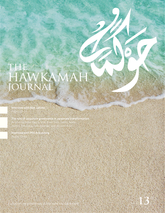# THE<br>HAWKAMAH<br>JOURNAL

Interview with Abir Leheta Pages 10-14

The role of corporate governance in corporate transformation Articles by Ritva Kassis, Mak Yuen Teen, James Wates, Stathis Potamitis, Teresa Barger and Wissam Adib

Interview with Phil Armstrong

Pages 39-42

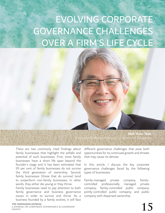# EVOLVING CORPORATE GOVERNANCE CHALLENGES OVER A FIRM'S LIFE CYCLE



There are two commonly cited findings about family businesses that highlight the pitfalls and potential of such businesses. First, most family businesses have a short life span beyond the founder's stage and it has been estimated that 95 per cent of family businesses do not survive the third generation of ownership. Second, family businesses (those that do survive) tend to outperform non-family businesses. In other words, they either die young or they thrive.

Family businesses need to pay attention to both family governance and business governance issues in order to survive and thrive. As a business founded by a family evolves, it will face

**the hawkamah journal** a journal on corporate governance & leadership THE HAWKAMAH JOURNAL<br>A JOURNAL ON CORPORATE GOVERNANCE & LEADERSHIP<br>ISSUE13 **15** 

different governance challenges that pose both opportunities for its continued growth and threats that may cause its demise.

In this article, I discuss the key corporate governance challenges faced by the following types of businesses:

Family-managed private company; family-<br>controlled professionally managed private professionally managed private company; family-controlled public company; jointly-controlled public company; and public company with dispersed ownership.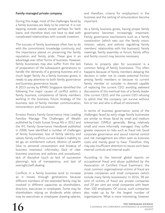## Family-managed private company

During this stage, most of the challenges faced by a family business are likely to be internal. It is not tapping outside capital, except perhaps for bank loans, and therefore does not have to deal with complicated relationships with outside investors.

The success of family businesses often has to do with the commitment, knowledge continuity, and the importance placed on preserving the family reputation and family pride. These give it an advantage over other forms of business. However, family businesses may also suffer from the lack of preparation of the subsequent generations to handle the demands of a growing business and a much larger family. As a family business grows, it needs to pay attention to both family governance and business governance issues.

A 2013 survey by KPMG Singapore identified the following five major causes of conflict within a family business: competence of family members working in the business; future strategy of the business; lack of family member communication; remuneration; and succession.

Ernesto Posta's Family Governance: How Leading Families Manage The Challenges of Wealth published by Credit Suisse Group AG in 2012 and the IFC Family Governance Handbook published in 2008, have identified a number of challenges of family businesses: loss of family identity and values; family conflicts; current leader's inability to let go; an entitlement culture; dilution of wealth (due to personal consumption and breakup of business interests); informality (lack of clear business practices and policies and procedures); lack of discipline (such as lack of succession planning); lack of transparency; and lack of oversight/self-dealing.

Conflicts in a family business tend to increase as it moves through generations because different members of the extended family may be involved in different capacities as shareholders, directors, executives or employees. Some may be shareholders relying on dividends while others may be executives or employees drawing salaries, and therefore, criteria for employment in the business and the setting of remuneration become important.

As a family business grows, having proper family governance becomes increasingly important. Family governance mechanisms such as a family constitution (which sets out the family vision, mission, values, and policies regulating family members' relationship with the business), family meetings, family assembly or forum, family office and family council may become necessary.

Failure to properly plan for succession is a common failing of family businesses. This often happens because of family members delaying the decision in order not to create potential friction among family members or because no current family member or outsider is deemed capable of replacing the current CEO; avoiding awkward discussions of the eventual loss of a family leader (the current CEO); and the current CEO refusing to admit that the company can survive without him or her and who is afraid of retirement.

In terms of business governance, some of the challenges faced by early-stage family businesses are similar to those faced by small and medium enterprises (SMEs) generally. Being relatively small and more informally managed, they suffer greater exposure to risks such as fraud risk. Good corporate governance and sound internal control and risk management are often seen as business costs and merely good to have. Therefore, they may pay insufficient attention to issues such basic internal controls and internal audit.

According to the biennial global reports on occupational fraud and abuse published by the Association of Certified Fraud Examiners, the most common organisational victims of fraud are private companies and small companies (which include many family businesses). In 2014, 38 per cent of victims of fraud are private companies and 29 per cent are small companies with fewer than 100 employees. Of course, such companies also make up by far the largest number of organisations. What is more interesting, however,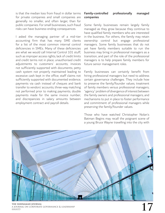is that the median loss from fraud in dollar terms for private companies and small companies are generally no smaller, and often larger, than for public companies. For small businesses, such fraud risks can have business-ending consequences.

I asked the managing partner of a mid-tier accounting firm that has many SME clients for a list of the most common internal control deficiencies in SMEs. Many of these deficiencies are what we would call Internal Control 101 stuff, such as improper access rights; lack of credit limits and credit terms not in place; unauthorised credit adjustments to customers' accounts; invoices not sufficiently supported with documents; petty cash system not properly maintained leading to excessive cash kept in the office; staff claims not sufficiently supported with documented evidence; payments via cash instead of cheques and bank transfer to vendors' accounts; three-way matching not performed prior to making payments; double payments made for the same invoice number; and discrepancies in salary amounts between employment contract and payroll details.

# Family-controlled professionally managed companies

Some family businesses remain largely family managed as they grow because they continue to have qualified family members who are interested in the business. For others, the family may retain ownership control but engage professional managers. Some family businesses that do not yet have family members suitable to run the business may bring in professional managers as a transition, and part of the role of the professional managers is to help prepare family members for future senior management roles.

Family businesses can certainly benefit from hiring professional managers but need to address certain governance challenges. They include how to preserve the family/founder values; treatment of family members versus professional managers; "agency" problem of divergence of interest between the family owners and professional managers; and mechanisms to put in place to foster performance and commitment of professional managers while preserving the family/founder values.

Those who have watched Christopher Nolan's Batman Begins may recall the poignant scene of a young Bruce Wayne travelling into the city with

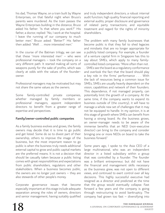his dad, Thomas Wayne, on a train built by Wayne Enterprises, on that fateful night when Bruce's parents were murdered. As the train passes the Wayne Enterprises building in the distance, Bruce asked his father: "Is that where you work?" His father, a doctor, replied: "No, I work at the hospital. I leave the running of our company to much better men." Bruce asked: "Better?" His father then added: "Well . . . more interested men."

In the course of the Batman trilogy, we can see that these "more interested men" – who were professional managers – took the company on a very different path. It started making all sorts of weapons purely for the sake of profits, which was clearly at odds with the values of the founderowner.

Professional managers may be motivated but may not share the same values as the owners.

Some family-controlled private companies, whether managed by family members or professional managers, appoint independent directors to benefit from a greater range of expertise and perspectives.

# Family/owner-controlled public companies

As a family business evolves and grows, the family owners may decide that it is time to go public and get listed. Some do so to divest part of their ownership, others to improve the image of the business, but the most important reason to go public is when the business truly needs additional external capital to grow and public capital markets are the preferred means. It is not a decision that should be casually taken because a public listing comes with great responsibilities and expectations from public shareholders, regulators and other stakeholders. When a business becomes public, the owners are no longer just owners – they are also stewards of other people's money.

Corporate governance issues that become especially important at this stage include adequate separation among the roles of owners, directors and senior management; having suitably qualified

and truly independent directors; a robust internal audit function; high quality financial reporting and external audits; proper disclosure and governance of related party transactions; and equitable treatment and regard for the rights of minority shareholders.

The problem with many family businesses that become public is that they fail to shed legacies and mindsets that are no longer appropriate for a publicly listed company. For example, a founder of a venture capital firm in Singapore has this to say about SMEs, which apply to many familycontrolled listed companies: "More often than not .

. . SMEs see the board as a regulatory conformance and overlook the fact that the board should play a key role in the firms' performance . . . With the lack of resources being a common issue for SMEs, SMEs are usually heavily dependent on the vision, capabilities and network of their founders. This dependence, if not managed properly, can potentially limit the growth of a company. At the same time, if the company wants to expand its business outside of (the country), it will have to manage a whole new set of challenges that it may not be equipped to handle. In my opinion, it is at this stage of growth where SMEs can benefit from having a strong board. As the business grows, an owner-manager needs to be aware of the immense benefits that an NED (non-executive director) can bring to the company and consider bringing one or more NEDs on board to take the business forward."

Some years ago, I spoke to the Asia CEO of a large multinational, who was an independent director in a listed subsidiary within a group that was controlled by a founder. The founder was a brilliant entrepreneur, but did not have the financial and management skills necessary as the business grew, was not open to different views, and continued to exert control over all key decisions. This highly successful executive had resigned as a director and predicted at the time that the group would eventually collapse. Fast forward a few years and the company is going through restructuring to avoid bankruptcy. The company had grown too fast – diversifying into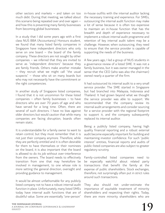other sectors and markets – and taken on too much debt. During that meeting, we talked about this scenario being repeated over and over again – and how this is preventing many family businesses from becoming global businesses.

In a study that I did some years ago with a first class NUS BBA (Accountancy) Honours student, we found that many listed family companies in Singapore have independent directors who only serve on one board  $-$  the board of the family company. These directors are not sought by other companies – we inferred that they are invited to serve as "independent directors" because they are family friends. Others make another mistake – they recruit what we might call "the usual suspects" – those who sit on many boards but who may not necessarily have the commitment or the right competencies.

In another study of Singapore listed companies, I found that it is not uncommon for these listed companies – often family businesses – to have directors who are over 70 years of age and who have served for a long time. Often, there are several of such directors. I have no bias against older directors but would caution that while many companies are facing disruption, boards often remain static.

It is understandable for a family owner to want to retain control, but they must remember that it is not just their company anymore. Therefore, while they are perfectly entitled and it is often desirable for them to have themselves or their nominees on the board, it is also important that the board is allowed to do its job without over-interference from the owners. The board needs to effectively transition from one that may heretofore be involved in management, to one whose role is more setting the general direction, oversight and providing guidance to management.

It would be almost unfathomable for any publicly listed company not to have a robust internal audit function in place. Unfortunately, many listed SMEs today have internal audit functions that are of doubtful value. Some are essentially "one-person"

in-house outfits with the internal auditor lacking the necessary training and experience. For SMEs, outsourcing the internal audit function may make a lot of sense because it is often too expensive to maintain an in-house function that has the breadth and depth of experience necessary to implement a robust internal audit programme and retention of key internal audit talent may be a challenge. However, when outsourcing, they need to ensure that the service provider is capable of supporting the needs of the business.

A few years ago, I led a group of NUS students in a governance review of a listed SME. It was not a family business, but it was owner-managed in the sense that the CEO (who was also the chairman) owned nearly a quarter of the firm.

It had outsourced its internal audit to a very small service provider. The SME started in Singapore but had branched into Malaysia, Indonesia and Thailand. It had grown beyond what we thought the service provider was able to support. We recommended that the company review its internal audit arrangements and consider sourcing for a service provider with the regional footprint to support it, and the company subsequently replaced its internal auditor.

Being a publicly listed company, having high quality financial reporting and a robust external audit become especially important for building and maintaining investor confidence. For such "public interest" entities, financial reports and audits of public-listed companies are also subject to greater regulatory scrutiny.

Family-controlled listed companies need to be especially watchful about related party transactions that benefit the family at the expense of public shareholders. Stock exchanges, therefore, not surprisingly often put in strict rules around such transactions.

They also should not under-estimate the importance of equitable treatment of minority shareholders and respecting their rights. Today, there are more minority shareholders who are